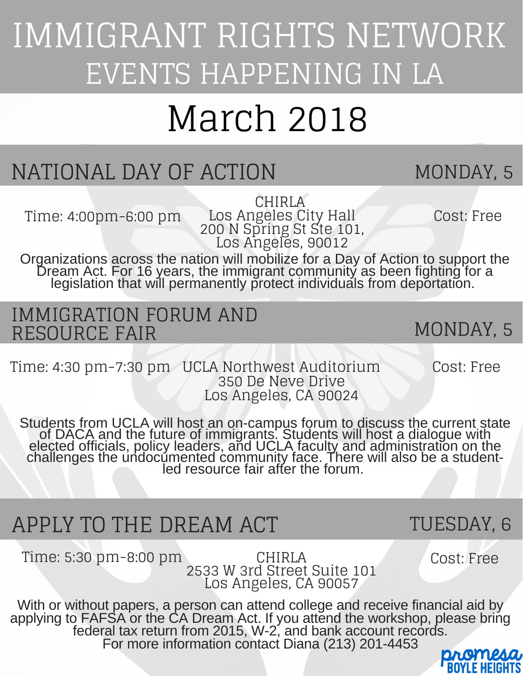## IMMIGRANT RIGHTS NETWORK EVENTS HAPPENING IN LA

# March 2018

### NATIONAL DAY OF ACTION MONDAY, 5

CHIRLA Los Angeles City Hall 200 N Spring St Ste 101, Los Angeles, 90012 Time: 4:00pm-6:00 pm Los Angeles City Hall Cost: Free

MONDAY, 5

Organizations across the nation will mobilize for a Day of Action to support the Dream Act. For 16 years, the immigrant community as been fighting for a legislation that will permanently protect individuals from deportation.

#### IMMIGRATION FORUM AND RESOURCE FAIR

Time: 4:30 pm-7:30 pm UCLA Northwest Auditorium Cost: Free 350 De Neve Drive Los Angeles, CA 90024

Students from UCLA will host an on-campus forum to discuss the current state of DACA and the future of immigrants. Students will host a dialogue with elected officials, policy leaders, and UCLA faculty and administration on the challenges the undocumented community face. There will also be a studentled resource fair after the forum.

### APPLY TO THE DREAM ACT

Time: 5:30 pm-8:00 pm

CHIRLA Cost: Free 2533 W 3rd Street Suite 101 Los Angeles, CA 90057

TUESDAY, 6

With or without papers, a person can attend college and receive financial aid by applying to FAFSA or the CA Dream Act. If you attend the workshop, please bring federal tax return from 2015, W-2, and bank account records. For more information contact Diana (213) 201-4453